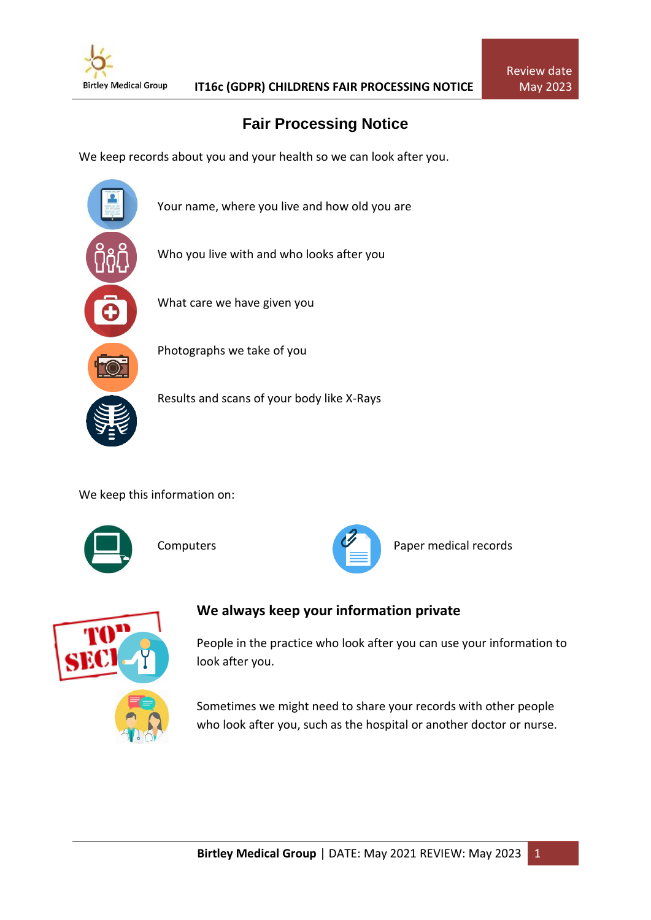

## **Fair Processing Notice**

We keep records about you and your health so we can look after you.



Your name, where you live and how old you are

Who you live with and who looks after you

What care we have given you



Photographs we take of you

Results and scans of your body like X-Rays

We keep this information on:





Computers **Paper medical records** 

Review date May 2023



## **We always keep your information private**

People in the practice who look after you can use your information to look after you.

Sometimes we might need to share your records with other people who look after you, such as the hospital or another doctor or nurse.